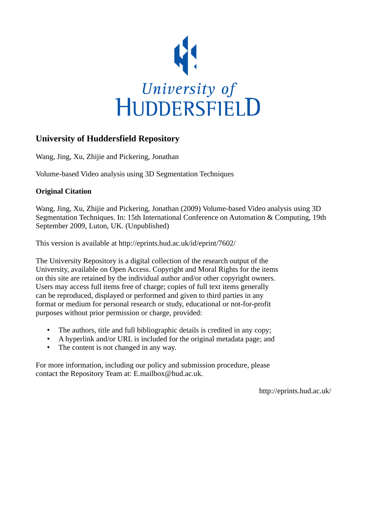

## **University of Huddersfield Repository**

Wang, Jing, Xu, Zhijie and Pickering, Jonathan

Volume-based Video analysis using 3D Segmentation Techniques

### **Original Citation**

Wang, Jing, Xu, Zhijie and Pickering, Jonathan (2009) Volume-based Video analysis using 3D Segmentation Techniques. In: 15th International Conference on Automation & Computing, 19th September 2009, Luton, UK. (Unpublished)

This version is available at http://eprints.hud.ac.uk/id/eprint/7602/

The University Repository is a digital collection of the research output of the University, available on Open Access. Copyright and Moral Rights for the items on this site are retained by the individual author and/or other copyright owners. Users may access full items free of charge; copies of full text items generally can be reproduced, displayed or performed and given to third parties in any format or medium for personal research or study, educational or not-for-profit purposes without prior permission or charge, provided:

- The authors, title and full bibliographic details is credited in any copy;
- A hyperlink and/or URL is included for the original metadata page; and
- The content is not changed in any way.

For more information, including our policy and submission procedure, please contact the Repository Team at: E.mailbox@hud.ac.uk.

http://eprints.hud.ac.uk/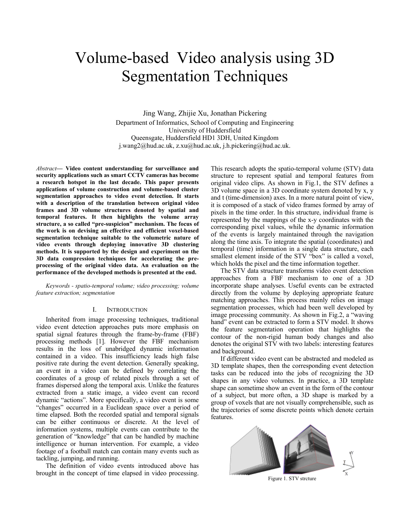# Volume-based Video analysis using 3D Segmentation Techniques

Jing Wang, Zhijie Xu, Jonathan Pickering Department of Informatics, School of Computing and Engineering University of Huddersfield Queensgate, Huddersfield HD1 3DH, United Kingdom [j.wang2@hud.ac.uk,](mailto:j.wang2@hud.ac.uk) [z.xu@hud.ac.uk,](mailto:z.xu@hud.ac.uk) j.h.pickering@hud.ac.uk.

*Abstract***— Video content understanding for surveillance and security applications such as smart CCTV cameras has become a research hotspot in the last decade. This paper presents applications of volume construction and volume-based cluster segmentation approaches to video event detection. It starts with a description of the translation between original video frames and 3D volume structures denoted by spatial and temporal features. It then highlights the volume array structure, a so called "pre-suspicion" mechanism. The focus of the work is on devising an effective and efficient voxel-based segmentation technique suitable to the volumetric nature of video events through deploying innovative 3D clustering methods. It is supported by the design and experiment on the 3D data compression techniques for accelerating the preprocessing of the original video data. An evaluation on the performance of the developed methods is presented at the end.**

*Keywords - spatio-temporal volume; video processing; volume feature extraction; segmentation* 

#### I. INTRODUCTION

Inherited from image processing techniques, traditional video event detection approaches puts more emphasis on spatial signal features through the frame-by-frame (FBF) processing methods [1]. However the FBF mechanism results in the loss of unabridged dynamic information contained in a video. This insufficiency leads high false positive rate during the event detection. Generally speaking, an event in a video can be defined by correlating the coordinates of a group of related pixels through a set of frames dispersed along the temporal axis. Unlike the features extracted from a static image, a video event can record dynamic "actions". More specifically, a video event is some "changes" occurred in a Euclidean space over a period of time elapsed. Both the recorded spatial and temporal signals can be either continuous or discrete. At the level of information systems, multiple events can contribute to the generation of "knowledge" that can be handled by machine intelligence or human intervention. For example, a video footage of a football match can contain many events such as tackling, jumping, and running.

The definition of video events introduced above has brought in the concept of time elapsed in video processing.

This research adopts the spatio-temporal volume (STV) data structure to represent spatial and temporal features from original video clips. As shown in Fig.1, the STV defines a 3D volume space in a 3D coordinate system denoted by x, y and t (time-dimension) axes. In a more natural point of view, it is composed of a stack of video frames formed by array of pixels in the time order. In this structure, individual frame is represented by the mappings of the x-y coordinates with the corresponding pixel values, while the dynamic information of the events is largely maintained through the navigation along the time axis. To integrate the spatial (coordinates) and temporal (time) information in a single data structure, each smallest element inside of the STV "box" is called a voxel, which holds the pixel and the time information together.

The STV data structure transforms video event detection approaches from a FBF mechanism to one of a 3D incorporate shape analyses. Useful events can be extracted directly from the volume by deploying appropriate feature matching approaches. This process mainly relies on image segmentation processes, which had been well developed by image processing community. As shown in Fig.2, a "waving hand" event can be extracted to form a STV model. It shows the feature segmentation operation that highlights the contour of the non-rigid human body changes and also denotes the original STV with two labels: interesting features and background.

If different video event can be abstracted and modeled as 3D template shapes, then the corresponding event detection tasks can be reduced into the jobs of recognizing the 3D shapes in any video volumes. In practice, a 3D template shape can sometime show an event in the form of the contour of a subject, but more often, a 3D shape is marked by a group of voxels that are not visually comprehensible, such as the trajectories of some discrete points which denote certain features.



Figure 1. STV strcture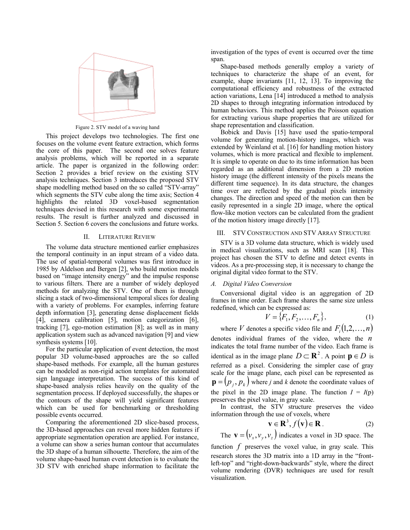

Figure 2. STV model of a waving hand

This project develops two technologies. The first one focuses on the volume event feature extraction, which forms the core of this paper. The second one solves feature analysis problems, which will be reported in a separate article. The paper is organized in the following order: Section 2 provides a brief review on the existing STV analysis techniques. Section 3 introduces the proposed STV shape modelling method based on the so called "STV-array" which segments the STV cube along the time axis; Section 4 highlights the related 3D voxel-based segmentation techniques devised in this research with some experimental results. The result is further analyzed and discussed in Section 5. Section 6 covers the conclusions and future works.

#### II. LITERATURE REVIEW

The volume data structure mentioned earlier emphasizes the temporal continuity in an input stream of a video data. The use of spatial-temporal volumes was first introduce in 1985 by Aldelson and Bergen [2], who build motion models based on "image intensity energy" and the impulse response to various filters. There are a number of widely deployed methods for analyzing the STV. One of them is through slicing a stack of two-dimensional temporal slices for dealing with a variety of problems. For examples, inferring feature depth information [3], generating dense displacement fields [4], camera calibration [5], motion categorization [6], tracking [7], ego-motion estimation [8]; as well as in many application system such as advanced navigation [9] and view synthesis systems [10].

For the particular application of event detection, the most popular 3D volume-based approaches are the so called shape-based methods. For example, all the human gestures can be modeled as non-rigid action templates for automated sign language interpretation. The success of this kind of shape-based analysis relies heavily on the quality of the segmentation process. If deployed successfully, the shapes or the contours of the shape will yield significant features which can be used for benchmarking or thresholding possible events occurred.

Comparing the aforementioned 2D slice-based process, the 3D-based approaches can reveal more hidden features if appropriate segmentation operation are applied. For instance, a volume can show a series human contour that accumulates the 3D shape of a human silhouette. Therefore, the aim of the volume shape-based human event detection is to evaluate the 3D STV with enriched shape information to facilitate the investigation of the types of event is occurred over the time span.

Shape-based methods generally employ a variety of techniques to characterize the shape of an event, for example, shape invariants [11, 12, 13]. To improving the computational efficiency and robustness of the extracted action variations, Lena [14] introduced a method to analysis 2D shapes to through integrating information introduced by human behaviors. This method applies the Poisson equation for extracting various shape properties that are utilized for shape representation and classification.

Bobick and Davis [15] have used the spatio-temporal volume for generating motion-history images, which was extended by Weinland et al. [16] for handling motion history volumes, which is more practical and flexible to implement. It is simple to operate on due to its time information has been regarded as an additional dimension from a 2D motion history image (the different intensity of the pixels means the different time sequence). In its data structure, the changes time over are reflected by the gradual pixels intensity changes. The direction and speed of the motion can then be easily represented in a single 2D image, where the optical flow-like motion vectors can be calculated from the gradient of the motion history image directly [17].

#### III. STV CONSTRUCTION AND STV ARRAY STRUCTURE

STV is a 3D volume data structure, which is widely used in medical visualizations, such as MRI scan [18]. This project has chosen the STV to define and detect events in videos. As a pre-processing step, it is necessary to change the original digital video format to the STV.

#### *A. Digital Video Conversion*

Conversional digital video is an aggregation of 2D frames in time order. Each frame shares the same size unless redefined, which can be expressed as:

$$
V = \{F_1, F_2, \dots, F_n\},\tag{1}
$$

where *V* denotes a specific video file and  $F_i(1,2,\ldots,n)$ denotes individual frames of the video, where the *n* indicates the total frame number of the video. Each frame is identical as in the image plane  $D \subset \mathbb{R}^2$ . A point  $p \in D$  is referred as a pixel. Considering the simpler case of gray scale for the image plane, each pixel can be represented as  $\mathbf{p} = (p_i, p_k)$  where *j* and *k* denote the coordinate values of the pixel in the 2D image plane. The function  $I = I(p)$ preserves the pixel value, in gray scale.

In contrast, the STV structure preserves the video information through the use of voxels, where

$$
\mathbf{v} \in \mathbf{R}^3, f(\mathbf{v}) \in \mathbf{R} \tag{2}
$$

The  $\mathbf{v} = ( v_x, v_y, v_z )$  indicates a voxel in 3D space. The

function *f* preserves the voxel value, in gray scale. This research stores the 3D matrix into a 1D array in the "frontleft-top" and "right-down-backwards" style, where the direct volume rendering (DVR) techniques are used for result visualization.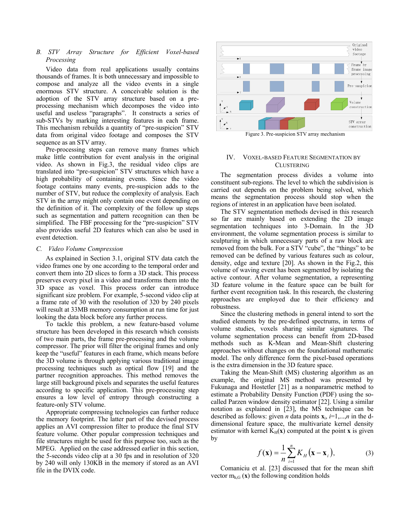#### *B. STV Array Structure for Efficient Voxel-based Processing*

Video data from real applications usually contains thousands of frames. It is both unnecessary and impossible to compose and analyze all the video events in a single enormous STV structure. A conceivable solution is the adoption of the STV array structure based on a preprocessing mechanism which decomposes the video into useful and useless "paragraphs". It constructs a series of sub-STVs by marking interesting features in each frame. This mechanism rebuilds a quantity of "pre-suspicion" STV data from original video footage and composes the STV sequence as an STV array.

Pre-processing steps can remove many frames which make little contribution for event analysis in the original video. As shown in Fig.3, the residual video clips are translated into "pre-suspicion" STV structures which have a high probability of containing events. Since the video footage contains many events, pre-suspicion adds to the number of STV, but reduce the complexity of analysis. Each STV in the array might only contain one event depending on the definition of it. The complexity of the follow up steps such as segmentation and pattern recognition can then be simplified. The FBF processing for the "pre-suspicion" STV also provides useful 2D features which can also be used in event detection.

#### *C. Video Volume Compression*

As explained in Section 3.1, original STV data catch the video frames one by one according to the temporal order and convert them into 2D slices to form a 3D stack. This process preserves every pixel in a video and transforms them into the 3D space as voxel. This process order can introduce significant size problem. For example, 5-second video clip at a frame rate of 30 with the resolution of 320 by 240 pixels will result at 33MB memory consumption at run time for just looking the data block before any further process.

To tackle this problem, a new feature-based volume structure has been developed in this research which consists of two main parts, the frame pre-processing and the volume compressor. The prior will filter the original frames and only keep the "useful" features in each frame, which means before the 3D volume is through applying various traditional image processing techniques such as optical flow [19] and the partner recognition approaches. This method removes the large still background pixels and separates the useful features according to specific application. This pre-processing step ensures a low level of entropy through constructing a feature-only STV volume.

Appropriate compressing technologies can further reduce the memory footprint. The latter part of the devised process applies an AVI compression filter to produce the final STV feature volume. Other popular compression techniques and file structures might be used for this purpose too, such as the MPEG. Applied on the case addressed earlier in this section, the 5-seconds video clip at a 30 fps and in resolution of 320 by 240 will only 130KB in the memory if stored as an AVI file in the DVIX code.



Figure 3. Pre-suspicion STV array mechanism

#### IV. VOXEL-BASED FEATURE SEGMENTATION BY **CLUSTERING**

The segmentation process divides a volume into constituent sub-regions. The level to which the subdivision is carried out depends on the problem being solved, which means the segmentation process should stop when the regions of interest in an application have been isolated.

The STV segmentation methods devised in this research so far are mainly based on extending the 2D image segmentation techniques into 3-Domain. In the 3D environment, the volume segmentation process is similar to sculpturing in which unnecessary parts of a raw block are removed from the bulk. For a STV "cube", the "things" to be removed can be defined by various features such as colour, density, edge and texture [20]. As shown in the Fig.2, this volume of waving event has been segmented by isolating the active contour. After volume segmentation, a representing 3D feature volume in the feature space can be built for further event recognition task. In this research, the clustering approaches are employed due to their efficiency and robustness.

Since the clustering methods in general intend to sort the studied elements by the pre-defined spectrums, in terms of volume studies, voxels sharing similar signatures. The volume segmentation process can benefit from 2D-based methods such as K-Mean and Mean-Shift clustering approaches without changes on the foundational mathematic model. The only difference form the pixel-based operations is the extra dimension in the 3D feature space.

Taking the Mean-Shift (MS) clustering algorithm as an example, the original MS method was presented by Fukunaga and Hostetler [21] as a nonparametric method to estimate a Probability Density Function (PDF) using the socalled Parzen window density estimator [22]. Using a similar notation as explained in [23], the MS technique can be described as follows: given *n* data points  $\mathbf{x}_i$ ,  $i=1,\dots,n$  in the ddimensional feature space, the multivariate kernel density estimator with kernel  $K_H(x)$  computed at the point **x** is given by

$$
f(\mathbf{x}) = \frac{1}{n} \sum_{i=1}^{n} K_H(\mathbf{x} - \mathbf{x}_i),
$$
 (3)

Comaniciu et al. [23] discussed that for the mean shift vector  $m_{h,G}$  (**x**) the following condition holds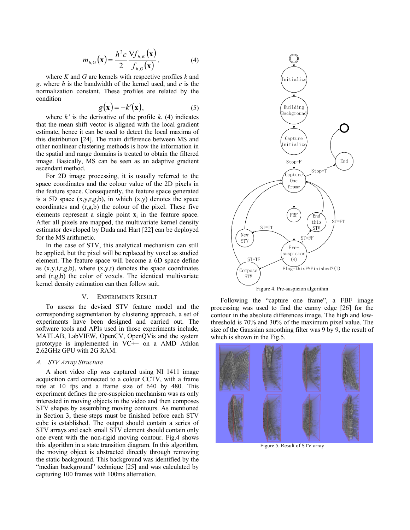$$
m_{h,G}(\mathbf{x}) = \frac{h^2 c}{2} \frac{\nabla f_{h,K}(\mathbf{x})}{f_{h,G}(\mathbf{x})},
$$
(4)

where *K* and *G* are kernels with respective profiles *k* and *g*. where *h* is the bandwidth of the kernel used, and *c* is the normalization constant. These profiles are related by the condition

$$
g(\mathbf{x}) = -k'(\mathbf{x}),\tag{5}
$$

where  $k'$  is the derivative of the profile  $k$ . (4) indicates that the mean shift vector is aligned with the local gradient estimate, hence it can be used to detect the local maxima of this distribution [24]. The main difference between MS and other nonlinear clustering methods is how the information in the spatial and range domains is treated to obtain the filtered image. Basically, MS can be seen as an adaptive gradient ascendant method.

For 2D image processing, it is usually referred to the space coordinates and the colour value of the 2D pixels in the feature space. Consequently, the feature space generated is a 5D space  $(x, y, r, g, b)$ , in which  $(x, y)$  denotes the space coordinates and (r,g,b) the colour of the pixel. These five elements represent a single point  $\mathbf{x}_i$  in the feature space. After all pixels are mapped, the multivariate kernel density estimator developed by Duda and Hart [22] can be deployed for the MS arithmetic.

In the case of STV, this analytical mechanism can still be applied, but the pixel will be replaced by voxel as studied element. The feature space will become a 6D space define as  $(x, y, t, r, g, b)$ , where  $(x, y, t)$  denotes the space coordinates and (r,g,b) the color of voxels. The identical multivariate kernel density estimation can then follow suit.

#### V. EXPERIMENTS RESULT

To assess the devised STV feature model and the corresponding segmentation by clustering approach, a set of experiments have been designed and carried out. The software tools and APIs used in those experiments include, MATLAB, LabVIEW, OpenCV, OpenQVis and the system prototype is implemented in VC++ on a AMD Athlon 2.62GHz GPU with 2G RAM.

#### *A. STV Array Structure*

A short video clip was captured using NI 1411 image acquisition card connected to a colour CCTV, with a frame rate at 10 fps and a frame size of 640 by 480. This experiment defines the pre-suspicion mechanism was as only interested in moving objects in the video and then composes STV shapes by assembling moving contours. As mentioned in Section 3, these steps must be finished before each STV cube is established. The output should contain a series of STV arrays and each small STV element should contain only one event with the non-rigid moving contour. Fig.4 shows this algorithm in a state transition diagram. In this algorithm, the moving object is abstracted directly through removing the static background. This background was identified by the "median background" technique [25] and was calculated by capturing 100 frames with 100ms alternation.



Figure 4. Pre-suspicion algorithm

Following the "capture one frame", a FBF image processing was used to find the canny edge [26] for the contour in the absolute differences image. The high and lowthreshold is 70% and 30% of the maximum pixel value. The size of the Gaussian smoothing filter was 9 by 9, the result of which is shown in the Fig.5.



Figure 5. Result of STV array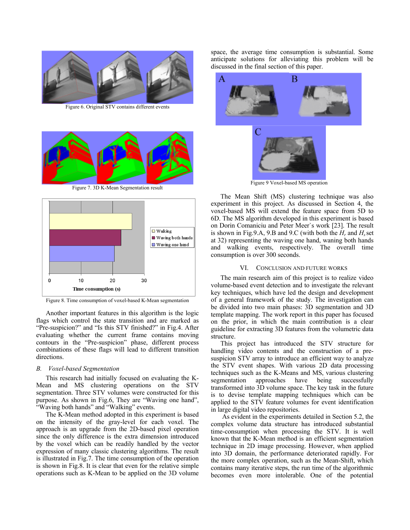

Figure 6. Original STV contains different events



Figure 7. 3D K-Mean Segmentation result



Figure 8. Time consumption of voxel-based K-Mean segmentation

Another important features in this algorithm is the logic flags which control the state transition and are marked as "Pre-suspicion?" and "Is this STV finished?" in Fig.4. After evaluating whether the current frame contains moving contours in the "Pre-suspicion" phase, different process combinations of these flags will lead to different transition directions.

#### *B. Voxel-based Segmentation*

This research had initially focused on evaluating the K-Mean and MS clustering operations on the STV segmentation. Three STV volumes were constructed for this purpose. As shown in Fig.6, They are "Waving one hand", "Waving both hands" and "Walking" events.

The K-Mean method adopted in this experiment is based on the intensity of the gray-level for each voxel. The approach is an upgrade from the 2D-based pixel operation since the only difference is the extra dimension introduced by the voxel which can be readily handled by the vector expression of many classic clustering algorithms. The result is illustrated in Fig.7. The time consumption of the operation is shown in Fig.8. It is clear that even for the relative simple operations such as K-Mean to be applied on the 3D volume space, the average time consumption is substantial. Some anticipate solutions for alleviating this problem will be discussed in the final section of this paper.



Figure 9 Voxel-based MS operation

The Mean Shift (MS) clustering technique was also experiment in this project. As discussed in Section 4, the voxel-based MS will extend the feature space from 5D to 6D. The MS algorithm developed in this experiment is based on Dorin Comaniciu and Peter Meer`s work [23]. The result is shown in Fig.9.A, 9.B and 9.C (with both the  $H_r$  and  $H_s$  set at 32) representing the waving one hand, waning both hands and walking events, respectively. The overall time consumption is over 300 seconds.

#### VI. CONCLUSION AND FUTURE WORKS

The main research aim of this project is to realize video volume-based event detection and to investigate the relevant key techniques, which have led the design and development of a general framework of the study. The investigation can be divided into two main phases: 3D segmentation and 3D template mapping. The work report in this paper has focused on the prior, in which the main contribution is a clear guideline for extracting 3D features from the volumetric data structure.

This project has introduced the STV structure for handling video contents and the construction of a presuspicion STV array to introduce an efficient way to analyze the STV event shapes. With various 2D data processing techniques such as the K-Means and MS, various clustering segmentation approaches have being successfully transformed into 3D volume space. The key task in the future is to devise template mapping techniques which can be applied to the STV feature volumes for event identification in large digital video repositories.

As evident in the experiments detailed in Section 5.2, the complex volume data structure has introduced substantial time-consumption when processing the STV. It is well known that the K-Mean method is an efficient segmentation technique in 2D image processing. However, when applied into 3D domain, the performance deteriorated rapidly. For the more complex operation, such as the Mean-Shift, which contains many iterative steps, the run time of the algorithmic becomes even more intolerable. One of the potential